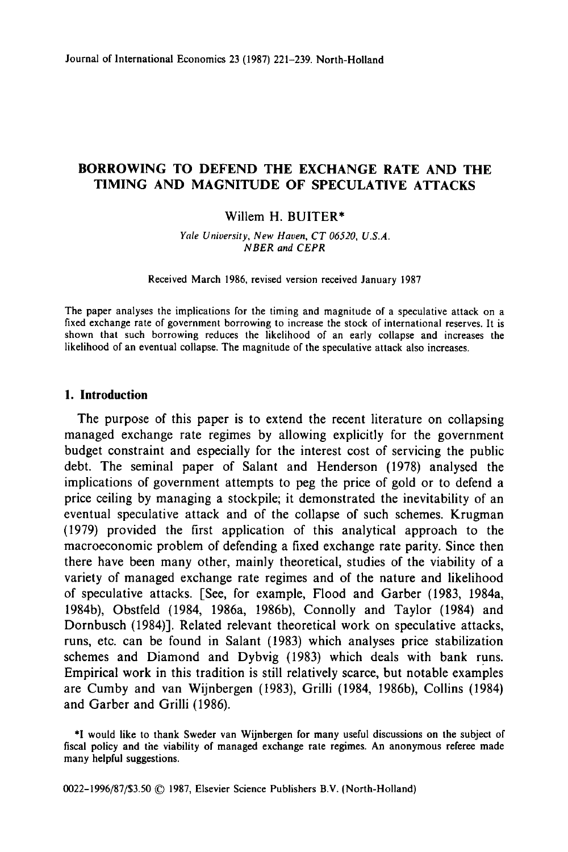## **BORROWING TO DEFEND THE EXCHANGE RATE AND THE**  TIMING AND MAGNITUDE OF SPECULATIVE ATTACKS

### Willem H. BUITER\*

*Yale University, New Haven, CT 06520, U.S.A. NBER and CEPR* 

Received March 1986, revised version received January 1987

The paper analyses the implications for the timing and magnitude of a speculative attack on a fixed exchange rate of government borrowing to increase the stock of international reserves. It is shown that such borrowing reduces the likelihood of an early collapse and increases the likelihood of an eventual collapse. The magnitude of the speculative attack also increases.

#### **I. Introduction**

The purpose of this paper is to extend the recent literature on collapsing managed exchange rate regimes by allowing explicitly for the government budget constraint and especially for the interest cost of servicing the public debt. The seminal paper of Salant and Henderson (1978) analysed the implications of government attempts to peg the price of gold or to defend a price ceiling by managing a stockpile; it demonstrated the inevitability of an eventual speculative attack and of the collapse of such schemes. Krugman (1979) provided the first application of this analytical approach to the macroeconomic problem of defending a fixed exchange rate parity. Since then there have been many other, mainly theoretical, studies of the viability of a variety of managed exchange rate regimes and of the nature and likelihood of speculative attacks. [See, for example, Flood and Garber (1983, 1984a, 1984b), Obstfeld (1984, 1986a, 1986b), Connolly and Taylor (1984) and Dornbusch (1984)]. Related relevant theoretical work on speculative attacks, runs, etc. can be found in Salant (1983) which analyses price stabilization schemes and Diamond and Dybvig (1983) which deals with bank runs. Empirical work in this tradition is still relatively scarce, but notable examples are Cumby and van Wijnbergen (1983), Grilli (1984, 1986b), Collins (1984) and Garber and Grilli (1986).

<sup>\*</sup>I would like to thank Sweder van Wijnbergen for many useful discussions on the subject of fiscal policy and the viability of managed exchange rate regimes. An anonymous referee made many helpful suggestions.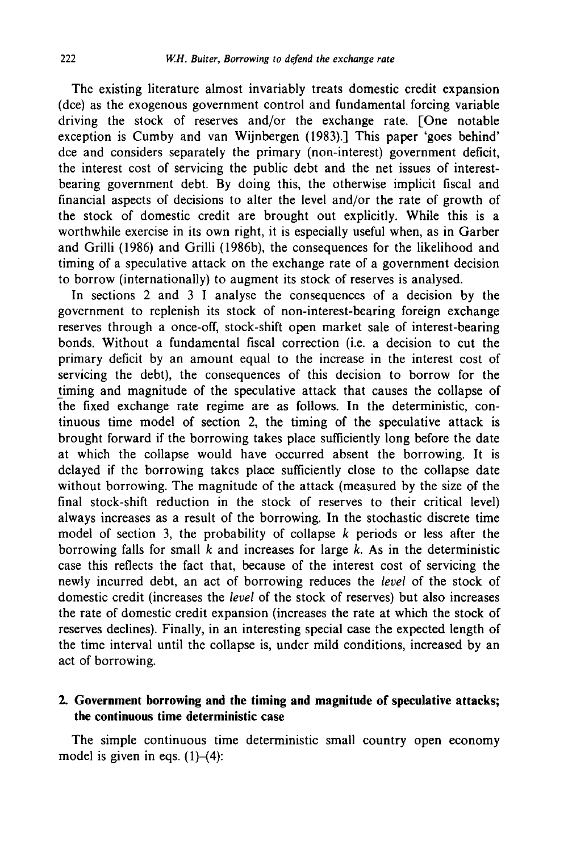The existing literature almost invariably treats domestic credit expansion (dce) as the exogenous government control and fundamental forcing variable driving the stock of reserves and/or the exchange rate. [One notable exception is Cumby and van Wijnbergen (1983).] This paper 'goes behind' dce and considers separately the primary (non-interest) government deficit, the interest cost of servicing the public debt and the net issues of interestbearing government debt. By doing this, the otherwise implicit fiscal and financial aspects of decisions to alter the level and/or the rate of growth of the stock of domestic credit are brought out explicitly. While this is a worthwhile exercise in its own right, it is especially useful when, as in Garber and Grilli (1986) and Grilli (1986b), the consequences for the likelihood and timing of a speculative attack on the exchange rate of a government decision to borrow (internationally) to augment its stock of reserves is analysed.

In sections 2 and 3 I analyse the consequences of a decision by the government to replenish its stock of non-interest-bearing foreign exchange reserves through a once-off, stock-shift open market sale of interest-bearing bonds. Without a fundamental fiscal correction (i.e. a decision to cut the primary deficit by an amount equal to the increase in the interest cost of servicing the debt), the consequences of this decision to borrow for the timing and magnitude of the speculative attack that causes the collapse of the fixed exchange rate regime are as follows. In the deterministic, continuous time model of section 2, the timing of the speculative attack is brought forward if the borrowing takes place sufficiently long before the date at which the collapse would have occurred absent the borrowing. It is delayed if the borrowing takes place sufficiently close to the collapse date without borrowing. The magnitude of the attack (measured by the size of the final stock-shift reduction in the stock of reserves to their critical level) always increases as a result of the borrowing. In the stochastic discrete time model of section 3, the probability of collapse  $k$  periods or less after the borrowing falls for small  $k$  and increases for large  $k$ . As in the deterministic case this reflects the fact that, because of the interest cost of servicing the newly incurred debt, an act of borrowing reduces the *level* of the stock of domestic credit (increases the *level* of the stock of reserves) but also increases the rate of domestic credit expansion (increases the rate at which the stock of reserves declines). Finally, in an interesting special case the expected length of the time interval until the collapse is, under mild conditions, increased by an act of borrowing.

## **2. Government borrowing and the timing and magnitude of speculative attacks; the continuous time deterministic case**

The simple continuous time deterministic small country open economy model is given in eqs.  $(1)$ – $(4)$ :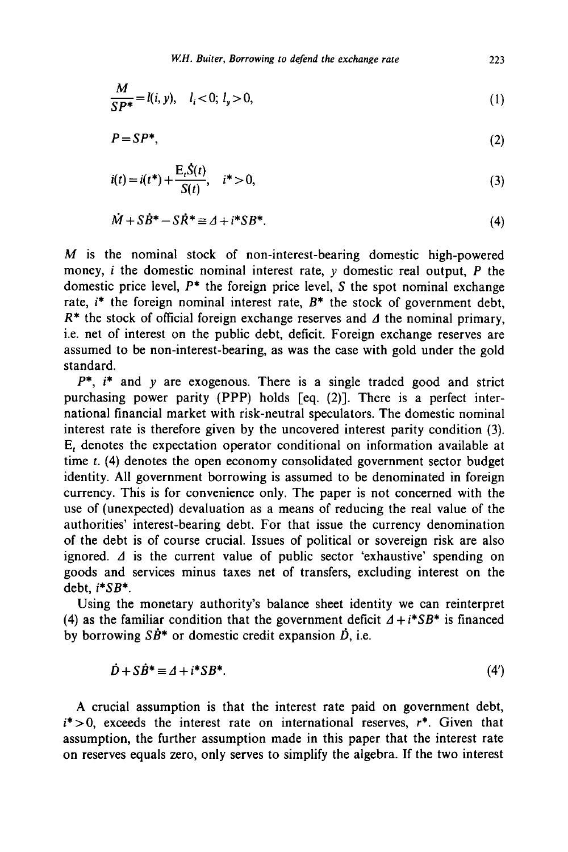$$
\frac{M}{SP^*} = l(i, y), \quad l_i < 0; \ l_y > 0,
$$
\n(1)

$$
P = SP^*,\tag{2}
$$

$$
i(t) = i(t^*) + \frac{E_r \dot{S}(t)}{S(t)}, \quad i^* > 0,
$$
\n(3)

$$
\dot{M} + S\dot{B}^* - S\dot{R}^* \equiv \Delta + i^* S B^*.
$$
\n<sup>(4)</sup>

M is the nominal stock of non-interest-bearing domestic high-powered money, i the domestic nominal interest rate,  $y$  domestic real output,  $P$  the domestic price level,  $P^*$  the foreign price level, S the spot nominal exchange rate,  $i^*$  the foreign nominal interest rate,  $B^*$  the stock of government debt,  $R^*$  the stock of official foreign exchange reserves and  $\Delta$  the nominal primary, i.e. net of interest on the public debt, deficit. Foreign exchange reserves are assumed to be non-interest-bearing, as was the case with gold under the gold standard.

 $P^*$ ,  $i^*$  and y are exogenous. There is a single traded good and strict purchasing power parity (PPP) holds [eq. (2)]. There is a perfect international financial market with risk-neutral speculators. The domestic nominal interest rate is therefore given by the uncovered interest parity condition (3). E, denotes the expectation operator conditional on information available at time  $t$ . (4) denotes the open economy consolidated government sector budget identity. All government borrowing is assumed to be denominated in foreign currency. This is for convenience only. The paper is not concerned with the use of (unexpected) devaluation as a means of reducing the real value of the authorities' interest-bearing debt. For that issue the currency denomination of the debt is of course crucial. Issues of political or sovereign risk are also ignored. A is the current value of public sector 'exhaustive' spending on goods and services minus taxes net of transfers, excluding interest on the debt, *i\*SB\*.* 

Using the monetary authority's balance sheet identity we can reinterpret (4) as the familiar condition that the government deficit  $A + i^*SB^*$  is financed by borrowing  $S\dot{B}^*$  or domestic credit expansion  $\dot{D}$ , i.e.

$$
\dot{D} + S\dot{B}^* \equiv \Delta + i^* S B^*.
$$
 (4')

A crucial assumption is that the interest rate paid on government debt,  $i^*>0$ , exceeds the interest rate on international reserves,  $r^*$ . Given that assumption, the further assumption made in this paper that the interest rate on reserves equals zero, only serves to simplify the algebra. If the two interest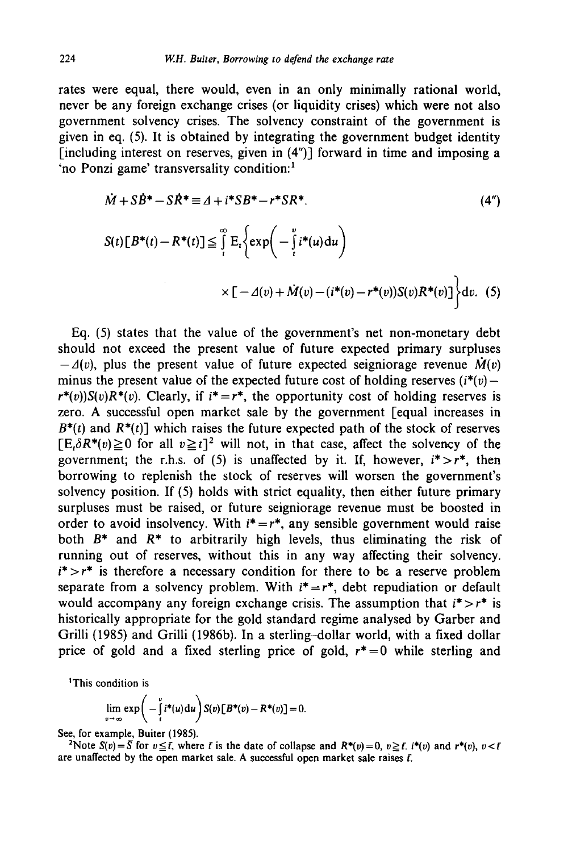rates were equal, there would, even in an only minimally rational world, never be any foreign exchange crises (or liquidity crises) which were not also government solvency crises. The solvency constraint of the government is given in eq. (5). It is obtained by integrating the government budget identity [including interest on reserves, given in  $(4<sup>n</sup>)$ ] forward in time and imposing a 'no Ponzi game' transversality condition:<sup>1</sup>

$$
\dot{M} + S\dot{B}^{*} - S\dot{R}^{*} \equiv \Delta + i^{*}SB^{*} - r^{*}SR^{*}.
$$
\n(4")\n
$$
S(t)[B^{*}(t) - R^{*}(t)] \leq \int_{t}^{\infty} E_{t} \left\{ \exp\left(-\int_{t}^{v} i^{*}(u) du\right) \right\}
$$
\n
$$
\times \left[ -\Delta(v) + \dot{M}(v) - (i^{*}(v) - r^{*}(v))S(v)R^{*}(v) \right] \right\} dv.
$$
\n(5)

Eq. (5) states that the value of the government's net non-monetary debt should not exceed the present value of future expected primary surpluses  $-A(v)$ , plus the present value of future expected seigniorage revenue  $\dot{M}(v)$ minus the present value of the expected future cost of holding reserves  $(i^*(v)$  $r^{*}(v)$ )S(v)R<sup>\*</sup>(v). Clearly, if  $i^{*} = r^{*}$ , the opportunity cost of holding reserves is zero. A successful open market sale by the government [equal increases in  $B^*(t)$  and  $R^*(t)$ ] which raises the future expected path of the stock of reserves  $[E, \delta R^*(v) \ge 0$  for all  $v \ge t]^2$  will not, in that case, affect the solvency of the government; the r.h.s. of (5) is unaffected by it. If, however,  $i^* > r^*$ , then borrowing to replenish the stock of reserves will worsen the government's solvency position. If (5) holds with strict equality, then either future primary surpluses must be raised, or future seigniorage revenue must be boosted in order to avoid insolvency. With  $i^* = r^*$ , any sensible government would raise both  $B^*$  and  $R^*$  to arbitrarily high levels, thus eliminating the risk of running out of reserves, without this in any way affecting their solvency.  $i^*$  is therefore a necessary condition for there to be a reserve problem separate from a solvency problem. With  $i^* = r^*$ , debt repudiation or default would accompany any foreign exchange crisis. The assumption that  $i^* > r^*$  is historically appropriate for the gold standard regime analysed by Garber and Grilli (1985) and Grilli (1986b). In a sterling-dollar world, with a fixed dollar price of gold and a fixed sterling price of gold,  $r^*=0$  while sterling and

<sup>1</sup>This condition is

$$
\lim_{v \to \infty} \exp \left(-\int_{1}^{v} i^*(u) \, \mathrm{d}u\right) S(v) \left[B^*(v) - R^*(v)\right] = 0.
$$

See, for example, Buiter (1985).

Note  $S(v) = \overline{S}$  for  $v \leq \overline{t}$ , where *f* is the date of collapse and  $R^*(v) = 0$ ,  $v \geq \overline{t}$ . *i*\*(*v*) and  $r^*(v)$ ,  $v < \overline{t}$ **are** unaffected by the open market sale. A successful open market sale raises f.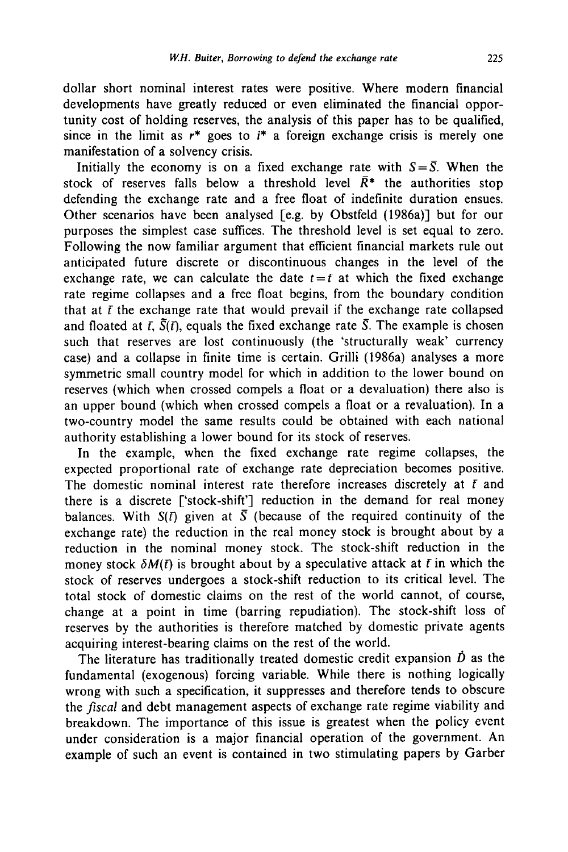dollar short nominal interest rates were positive. Where modern financial developments have greatly reduced or even eliminated the financial opportunity cost of holding reserves, the analysis of this paper has to be qualified, since in the limit as  $r^*$  goes to  $i^*$  a foreign exchange crisis is merely one manifestation of a solvency crisis.

Initially the economy is on a fixed exchange rate with  $S=\overline{S}$ . When the stock of reserves falls below a threshold level  $\bar{R}^*$  the authorities stop defending the exchange rate and a free float of indefinite duration ensues. Other scenarios have been analysed [e.g. by Obstfeld (1986a)] but for our purposes the simplest case suffices. The threshold level is set equal to zero. Following the now familiar argument that efficient financial markets rule out anticipated future discrete or discontinuous changes in the level of the exchange rate, we can calculate the date  $t=\bar{t}$  at which the fixed exchange rate regime collapses and a free float begins, from the boundary condition that at  $\bar{t}$  the exchange rate that would prevail if the exchange rate collapsed and floated at  $\bar{f}$ ,  $\bar{S}(t)$ , equals the fixed exchange rate  $\bar{S}$ . The example is chosen such that reserves are lost continuously (the 'structurally weak' currency case) and a collapse in finite time is certain. Grilli (1986a) analyses a more symmetric small country model for which in addition to the lower bound on reserves (which when crossed compels a float or a devaluation) there also is an upper bound (which when crossed compels a float or a revaluation). In a two-country model the same results could be obtained with each national authority establishing a lower bound for its stock of reserves.

In the example, when the fixed exchange rate regime collapses, the expected proportional rate of exchange rate depreciation becomes positive. The domestic nominal interest rate therefore increases discretely at  $\bar{t}$  and there is a discrete ['stock-shift'] reduction in the demand for real money balances. With  $S(f)$  given at  $\overline{S}$  (because of the required continuity of the exchange rate) the reduction in the real money stock is brought about by a reduction in the nominal money stock. The stock-shift reduction in the money stock  $\delta M(t)$  is brought about by a speculative attack at  $\bar{t}$  in which the stock of reserves undergoes a stock-shift reduction to its critical level. The total stock of domestic claims on the rest of the world cannot, of course, change at a point in time (barring repudiation). The stock-shift loss of reserves by the authorities is therefore matched by domestic private agents acquiring interest-bearing claims on the rest of the world.

The literature has traditionally treated domestic credit expansion  $\dot{D}$  as the fundamental (exogenous) forcing variable. While there is nothing logically wrong with such a specification, it suppresses and therefore tends to obscure the *fiscal* and debt management aspects of exchange rate regime viability and breakdown. The importance of this issue is greatest when the policy event under consideration is a major financial operation of the government. An example of such an event is contained in two stimulating papers by Garber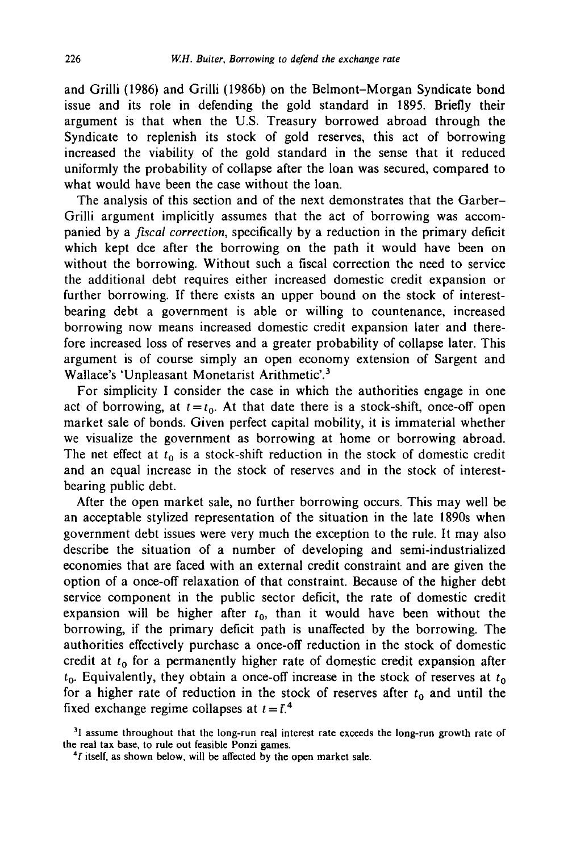and Grilli (1986) and Grilli (1986b) on the Belmont-Morgan Syndicate bond issue and its role in defending the gold standard in 1895. Briefly their argument is that when the U.S. Treasury borrowed abroad through the Syndicate to replenish its stock of gold reserves, this act of borrowing increased the viability of the gold standard in the sense that it reduced uniformly the probability of collapse after the loan was secured, compared to what would have been the case without the loan.

The analysis of this section and of the next demonstrates that the Garber-Grilli argument implicitly assumes that the act of borrowing was accompanied by a *fiscal correction,* specifically by a reduction in the primary deficit which kept dce after the borrowing on the path it would have been on without the borrowing. Without such a fiscal correction the need to service the additional debt requires either increased domestic credit expansion or further borrowing. If there exists an upper bound on the stock of interestbearing debt a government is able or willing to countenance, increased borrowing now means increased domestic credit expansion later and therefore increased loss of reserves and a greater probability of collapse later. This argument is of course simply an open economy extension of Sargent and Wallace's 'Unpleasant Monetarist Arithmetic'.<sup>3</sup>

For simplicity I consider the case in which the authorities engage in one act of borrowing, at  $t = t_0$ . At that date there is a stock-shift, once-off open market sale of bonds. Given perfect capital mobility, it is immaterial whether we visualize the government as borrowing at home or borrowing abroad. The net effect at  $t_0$  is a stock-shift reduction in the stock of domestic credit and an equal increase in the stock of reserves and in the stock of interestbearing public debt.

After the open market sale, no further borrowing occurs. This may well be an acceptable stylized representation of the situation in the late 1890s when government debt issues were very much the exception to the rule. It may also describe the situation of a number of developing and semi-industrialized economies that are faced with an external credit constraint and are given the option of a once-off relaxation of that constraint. Because of the higher debt service component in the public sector deficit, the rate of domestic credit expansion will be higher after  $t_0$ , than it would have been without the borrowing, if the primary deficit path is unaffected by the borrowing. The authorities effectively purchase a once-off reduction in the stock of domestic credit at  $t_0$  for a permanently higher rate of domestic credit expansion after  $t_0$ . Equivalently, they obtain a once-off increase in the stock of reserves at  $t_0$ for a higher rate of reduction in the stock of reserves after  $t_0$  and until the fixed exchange regime collapses at  $t = \bar{t}$ .<sup>4</sup>

<sup>&</sup>lt;sup>3</sup>I assume throughout that the long-run real interest rate exceeds the long-run growth rate of the real tax base, to rule out feasible Ponzi games.

 $4f$  itself, as shown below, will be affected by the open market sale.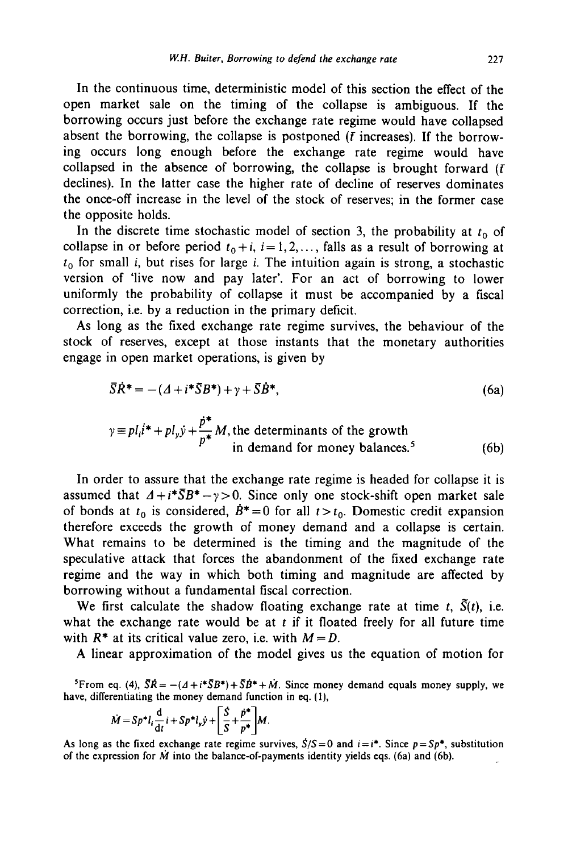In the continuous time, deterministic model of this section the effect of the open market sale on the timing of the collapse is ambiguous. If the borrowing occurs just before the exchange rate regime would have collapsed absent the borrowing, the collapse is postponed  $(f$  increases). If the borrowing occurs long enough before the exchange rate regime would have collapsed in the absence of borrowing, the collapse is brought forward  $(I$ declines). In the latter case the higher rate of decline of reserves dominates the once-off increase in the level of the stock of reserves; in the former case the opposite holds.

In the discrete time stochastic model of section 3, the probability at  $t_0$  of collapse in or before period  $t_0 + i$ ,  $i = 1, 2, \ldots$ , falls as a result of borrowing at  $t_0$  for small *i*, but rises for large *i*. The intuition again is strong, a stochastic version of 'live now and pay later'. For an act of borrowing to lower uniformly the probability of collapse it must be accompanied by a fiscal correction, i.e. by a reduction in the primary deficit.

As long as the fixed exchange rate regime survives, the behaviour of the stock of reserves, except at those instants that the monetary authorities engage in open market operations, is given by

$$
\overline{S}\dot{R}^* = -(A + i^*\overline{S}B^*) + \gamma + \overline{S}\dot{B}^*,\tag{6a}
$$

$$
\gamma = pl_i i^* + pl_y j + \frac{p^*}{p^*} M
$$
, the determinants of the growth  
in demand for money balances.<sup>5</sup> (6b)

In order to assure that the exchange rate regime is headed for collapse it is assumed that  $A+i^*\overline{S}B^*-\gamma>0$ . Since only one stock-shift open market sale of bonds at  $t_0$  is considered,  $\dot{B}^* = 0$  for all  $t > t_0$ . Domestic credit expansion therefore exceeds the growth of money demand and a collapse is certain. What remains to be determined is the timing and the magnitude of the speculative attack that forces the abandonment of the fixed exchange rate regime and the way in which both timing and magnitude are affected by borrowing without a fundamental fiscal correction.

We first calculate the shadow floating exchange rate at time t,  $\tilde{S}(t)$ , i.e. what the exchange rate would be at  $t$  if it floated freely for all future time with  $R^*$  at its critical value zero, i.e. with  $M = D$ .

A linear approximation of the model gives us the equation of motion for

<sup>5</sup>From eq. (4),  $\overline{S}\overline{R} = -(A + i\overline{S}B^*) + \overline{S}B^* + \overline{M}$ . Since money demand equals money supply, we have, differentiating the money demand function in eq. (I),

$$
\dot{M} = Sp^*l_i \frac{d}{dt} i + Sp^*l_y \dot{y} + \left[\frac{\dot{S}}{S} + \frac{\dot{p}^*}{p^*}\right]M.
$$

As long as the fixed exchange rate regime survives,  $\dot{S}/S=0$  and  $i=i^*$ . Since  $p=Sp^*$ , substitution of the expression for  $\dot{M}$  into the balance-of-payments identity yields eqs. (6a) and (6b).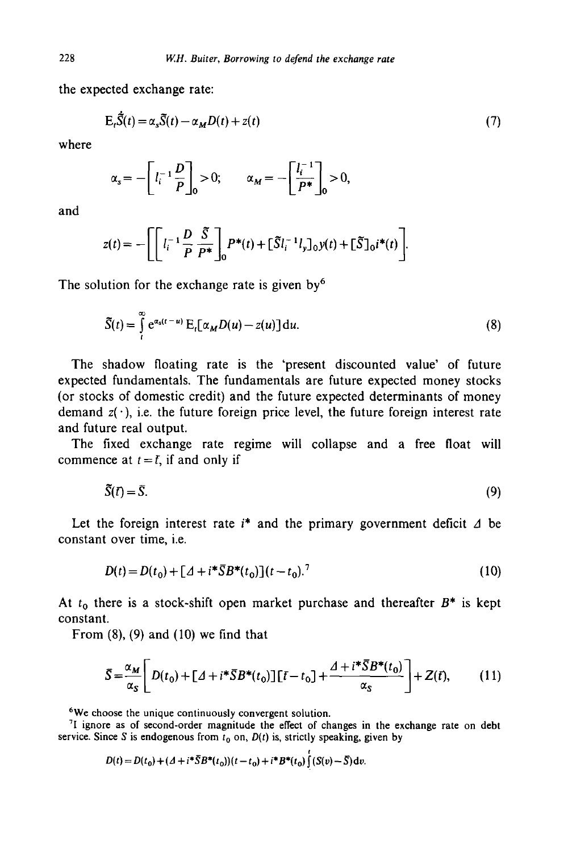the expected exchange rate:

$$
E_t \tilde{S}(t) = \alpha_s \tilde{S}(t) - \alpha_M D(t) + z(t)
$$
\n(7)

where

$$
\alpha_s = -\left[l_i^{-1}\frac{D}{P}\right]_0 > 0; \qquad \alpha_M = -\left[\frac{l_i^{-1}}{P^*}\right]_0 > 0,
$$

and

$$
z(t) = -\bigg[\bigg[l_i^{-1}\frac{D}{P}\frac{\tilde{S}}{P^*}\bigg]_0 P^*(t) + \big[\tilde{S}l_i^{-1}l_y\big]_0 y(t) + \big[\tilde{S}\big]_0 i^*(t)\bigg].
$$

The solution for the exchange rate is given by  $6\%$ 

$$
\widetilde{S}(t) = \int_{t}^{\infty} e^{\alpha_{s}(t-u)} E_{t}[\alpha_{M}D(u) - z(u)] du.
$$
 (8)

The shadow floating rate is the 'present discounted value' of future expected fundamentals. The fundamentals are future expected money stocks (or stocks of domestic credit) and the future expected determinants of money demand  $z(·)$ , i.e. the future foreign price level, the future foreign interest rate and future real output.

The fixed exchange rate regime will collapse and a free float will commence at  $t = \overline{t}$ , if and only if

$$
\tilde{S}(t) = \bar{S}.\tag{9}
$$

Let the foreign interest rate  $i^*$  and the primary government deficit  $\Delta$  be constant over time, i.e.

$$
D(t) = D(t_0) + [A + i^* \overline{S} B^*(t_0)] (t - t_0).
$$
<sup>7</sup> (10)

At  $t_0$  there is a stock-shift open market purchase and thereafter  $B^*$  is kept constant.

From  $(8)$ ,  $(9)$  and  $(10)$  we find that

$$
\bar{S} = \frac{\alpha_M}{\alpha_S} \left[ D(t_0) + \left[ \Delta + i^* \bar{S} B^*(t_0) \right] \left[ \bar{t} - t_0 \right] + \frac{\Delta + i^* \bar{S} B^*(t_0)}{\alpha_S} \right] + Z(\bar{t}),\tag{11}
$$

<sup>6</sup>We choose the unique continuously convergent solution.

71 ignore as of second-order magnitude the effect of changes in the exchange rate on debt service. Since S is endogenous from  $t_0$  on,  $D(t)$  is, strictly speaking, given by

$$
D(t) = D(t_0) + (A + i^* \bar{S} B^*(t_0)) (t - t_0) + i^* B^*(t_0) \int_0^t (S(v) - \bar{S}) dv.
$$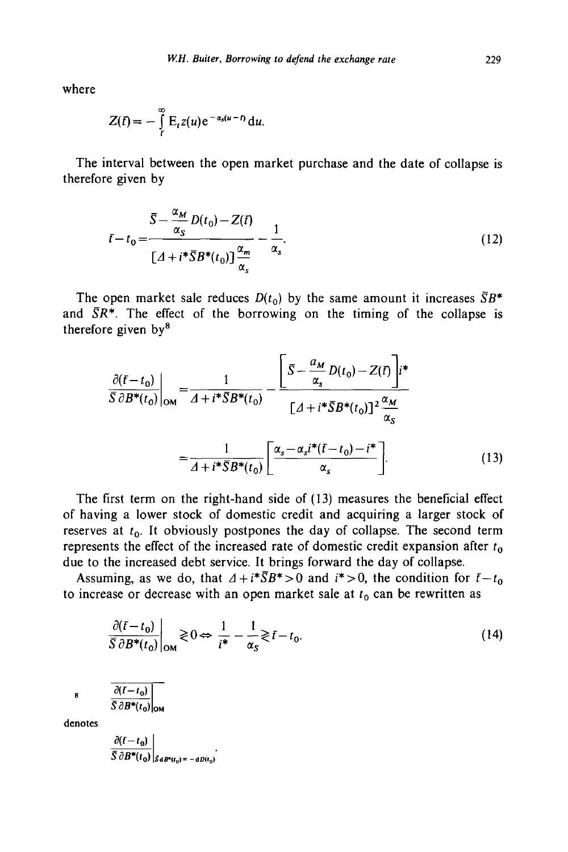where

$$
Z(\bar{t})=-\int\limits_t^\infty \mathrm{E}_tz(u)\mathrm{e}^{-\alpha_s(u-t)}\,\mathrm{d}u.
$$

The interval between the open market purchase and the date of collapse is therefore given by

$$
\bar{t} - t_0 = \frac{\bar{S} - \frac{\alpha_M}{\alpha_S} D(t_0) - Z(\bar{t})}{\left[ \Delta + i^* \bar{S} B^*(t_0) \right] \frac{\alpha_m}{\alpha_s}} - \frac{1}{\alpha_s}.
$$
\n(12)

The open market sale reduces  $D(t_0)$  by the same amount it increases  $\overline{S}B^*$ and  $\bar{S}R^*$ . The effect of the borrowing on the timing of the collapse is therefore given by 8

$$
\frac{\partial (t - t_0)}{\overline{S} \partial B^*(t_0)}\Big|_{\text{OM}} = \frac{1}{\Delta + i^* \overline{S} B^*(t_0)} - \frac{\left[\overline{S} - \frac{a_M}{\alpha_s} D(t_0) - Z(t)\right] i^*}{\left[\Delta + i^* \overline{S} B^*(t_0)\right]^2 \frac{\alpha_M}{\alpha_s}}
$$
\n
$$
= \frac{1}{\Delta + i^* \overline{S} B^*(t_0)} \left[\frac{\alpha_s - \alpha_s i^*(t - t_0) - i^*}{\alpha_s}\right].
$$
\n(13)

The first term on the right-hand side of (13) measures the beneficial effect of having a lower stock of domestic credit and acquiring a larger stock of reserves at  $t_0$ . It obviously postpones the day of collapse. The second term represents the effect of the increased rate of domestic credit expansion after  $t_0$ due to the increased debt service. It brings forward the day of collapse.

Assuming, as we do, that  $A + i^* \overline{S} B^* > 0$  and  $i^* > 0$ , the condition for  $\overline{t} - t_0$ to increase or decrease with an open market sale at  $t_0$  can be rewritten as

$$
\left. \frac{\partial (t - t_0)}{\overline{S} \partial B^*(t_0)} \right|_{OM} \ge 0 \Leftrightarrow \frac{1}{i^*} - \frac{1}{\alpha_S} \ge t - t_0. \tag{14}
$$

denotes

 $\alpha$ <sub>8</sub>  $\alpha$ <sub> $l$ </sub> $\alpha$ <sub>0</sub>)

$$
\left.\frac{\partial (I-t_0)}{\overline{S}\,\partial B^*(t_0)}\right|_{\overline{S}\,d\overline{B^*(t_0)}=-\,d\overline{D}(t_0)}.
$$

 $\partial B^*(t_0)|_{\rm OM}$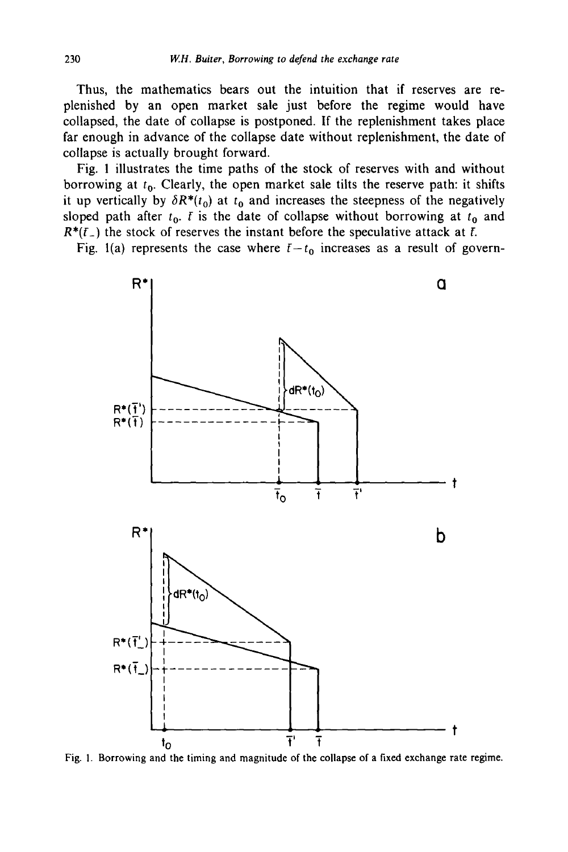Thus, the mathematics bears out the intuition that if reserves are replenished by an open market sale just before the regime would have collapsed, the date of collapse is postponed. If the replenishment takes place far enough in advance of the collapse date without replenishment, the date of collapse is actually brought forward.

Fig. 1 illustrates the time paths of the stock of reserves with and without borrowing at  $t_0$ . Clearly, the open market sale tilts the reserve path: it shifts it up vertically by  $\delta R^*(t_0)$  at  $t_0$  and increases the steepness of the negatively sloped path after  $t_0$ .  $\bar{t}$  is the date of collapse without borrowing at  $t_0$  and  $R^*(t)$  the stock of reserves the instant before the speculative attack at f.

Fig. 1(a) represents the case where  $t-t_0$  increases as a result of govern-



**Fig.** 1. Borrowing and the timing and magnitude of the collapse of a fixed exchange rate regime.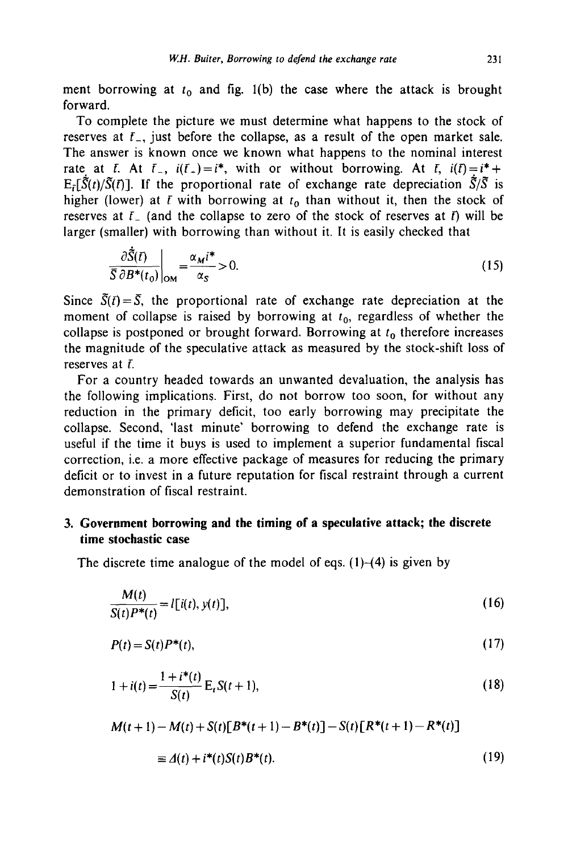ment borrowing at  $t_0$  and fig. 1(b) the case where the attack is brought forward.

To complete the picture we must determine what happens to the stock of reserves at  $\bar{t}$ , just before the collapse, as a result of the open market sale. The answer is known once we known what happens to the nominal interest rate at *f.* At  $\bar{t}$ ,  $i(\bar{t})=i^*$ , with or without borrowing. At  $\bar{t}$ ,  $i(\bar{t})=i^*$ +  $E_t[\tilde{S}(t)/\tilde{S}(t)]$ . If the proportional rate of exchange rate depreciation  $\tilde{S}/\tilde{S}$  is higher (lower) at *t* with borrowing at  $t_0$  than without it, then the stock of reserves at  $I_$  (and the collapse to zero of the stock of reserves at  $I$ ) will be larger (smaller) with borrowing than without it. It is easily checked that

$$
\left. \frac{\partial \tilde{S}(t)}{\bar{S} \partial B^*(t_0)} \right|_{OM} = \frac{\alpha_M i^*}{\alpha_S} > 0. \tag{15}
$$

Since  $\tilde{S}(t) = \overline{S}$ , the proportional rate of exchange rate depreciation at the moment of collapse is raised by borrowing at  $t_0$ , regardless of whether the collapse is postponed or brought forward. Borrowing at  $t_0$  therefore increases the magnitude of the speculative attack as measured by the stock-shift loss of reserves at  $\bar{t}$ .

For a country headed towards an unwanted devaluation, the analysis has the following implications. First, do not borrow too soon, for without any reduction in the primary deficit, too early borrowing may precipitate the collapse. Second, 'last minute' borrowing to defend the exchange rate is useful if the time it buys is used to implement a superior fundamental fiscal correction, i.e. a more effective package of measures for reducing the primary deficit or to invest in a future reputation for fiscal restraint through a current demonstration of fiscal restraint.

# **3. Government borrowing and the timing of a speculative attack; the discrete time stochastic case**

The discrete time analogue of the model of eqs.  $(1)$ - $(4)$  is given by

$$
\frac{M(t)}{S(t)P^*(t)} = l[i(t), y(t)],
$$
\n(16)

$$
P(t) = S(t)P^*(t),\tag{17}
$$

$$
1 + i(t) = \frac{1 + i^*(t)}{S(t)} \mathbf{E}_t S(t+1),
$$
\n(18)

$$
M(t+1) - M(t) + S(t)[B^*(t+1) - B^*(t)] - S(t)[R^*(t+1) - R^*(t)]
$$
  
\n
$$
\equiv \Delta(t) + i^*(t)S(t)B^*(t).
$$
\n(19)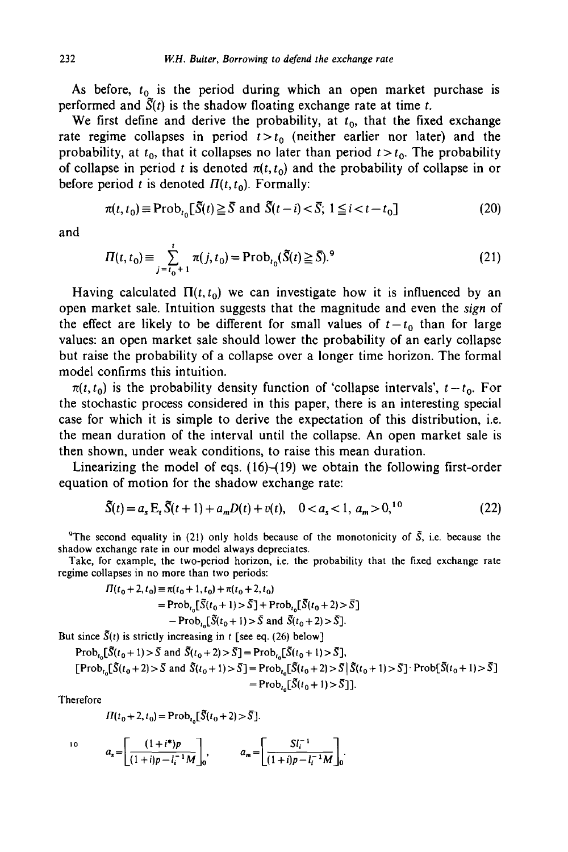As before,  $t_0$  is the period during which an open market purchase is performed and  $\tilde{S}(t)$  is the shadow floating exchange rate at time t.

We first define and derive the probability, at  $t_0$ , that the fixed exchange rate regime collapses in period  $t > t_0$  (neither earlier nor later) and the probability, at  $t_0$ , that it collapses no later than period  $t > t_0$ . The probability of collapse in period t is denoted  $\pi(t, t_0)$  and the probability of collapse in or before period t is denoted  $\Pi(t, t_0)$ . Formally:

$$
\pi(t, t_0) \equiv \text{Prob}_{t_0}[\tilde{S}(t) \ge \bar{S} \text{ and } \tilde{S}(t - i) < \bar{S}; 1 \le i < t - t_0] \tag{20}
$$

and

$$
\Pi(t, t_0) \equiv \sum_{j=t_0+1}^{t} \pi(j, t_0) = \text{Prob}_{t_0}(\tilde{S}(t) \ge \bar{S}).^9
$$
\n(21)

Having calculated  $\Pi(t, t_0)$  we can investigate how it is influenced by an open market sale. Intuition suggests that the magnitude and even the *sign* of the effect are likely to be different for small values of  $t-t_0$  than for large values: an open market sale should lower the probability of an early collapse but raise the probability of a collapse over a longer time horizon. The formal model confirms this intuition.

 $\pi(t, t_0)$  is the probability density function of 'collapse intervals',  $t-t_0$ . For the stochastic process considered in this paper, there is an interesting special case for which it is simple to derive the expectation of this distribution, i.e. the mean duration of the interval until the collapse. An open market sale is then shown, under weak conditions, to raise this mean duration.

Linearizing the model of eqs.  $(16)$ - $(19)$  we obtain the following first-order equation of motion for the shadow exchange rate:

$$
\tilde{S}(t) = a_s \mathbf{E}_t \, \tilde{S}(t+1) + a_m D(t) + v(t), \quad 0 < a_s < 1, \, a_m > 0, \, ^{10} \tag{22}
$$

<sup>9</sup>The second equality in (21) only holds because of the monotonicity of  $\overline{S}$ , i.e. because the shadow exchange rate in our model always depreciates.

Take, for example, the two-period horizon, i.e. the probability that the fixed exchange rate regime collapses in no more than two periods:

$$
\Pi(t_0 + 2, t_0) = \pi(t_0 + 1, t_0) + \pi(t_0 + 2, t_0)
$$
  
= Prob<sub>t\_0</sub>  $[\tilde{S}(t_0 + 1) > \bar{S}]$  + Prob<sub>t\_0</sub>  $[\tilde{S}(t_0 + 2) > \bar{S}]$   
- Prob<sub>t\_0</sub>  $[\tilde{S}(t_0 + 1) > \bar{S}$  and  $\tilde{S}(t_0 + 2) > \bar{S}]$ .

But since  $S(t)$  is strictly increasing in t [see eq. (26) below]

Prob<sub>10</sub>[
$$
S(t_0+1) > S
$$
 and  $S(t_0+2) > S$ ] = Prob<sub>10</sub>[ $S(t_0+1) > S$ ],  
\n[Prob<sub>10</sub>[ $\tilde{S}(t_0+2) > \overline{S}$  and  $\tilde{S}(t_0+1) > \overline{S}$ ] = Prob<sub>10</sub>[ $\tilde{S}(t_0+2) > \overline{S} | \tilde{S}(t_0+1) > \overline{S}$ ]  
\n= Prob<sub>10</sub>[ $\tilde{S}(t_0+1) > \overline{S}$ ]].

Therefore

$$
\Pi(t_0 + 2, t_0) = \text{Prob}_{t_0} [\tilde{S}(t_0 + 2) > \tilde{S}].
$$

$$
1\,0
$$

$$
a_{s} = \left[ \frac{(1+i^{*})p}{(1+i)p - l_{i}^{-1}M} \right]_{0}, \qquad a_{m} = \left[ \frac{SI_{i}^{-1}}{(1+i)p - l_{i}^{-1}M} \right]_{0}
$$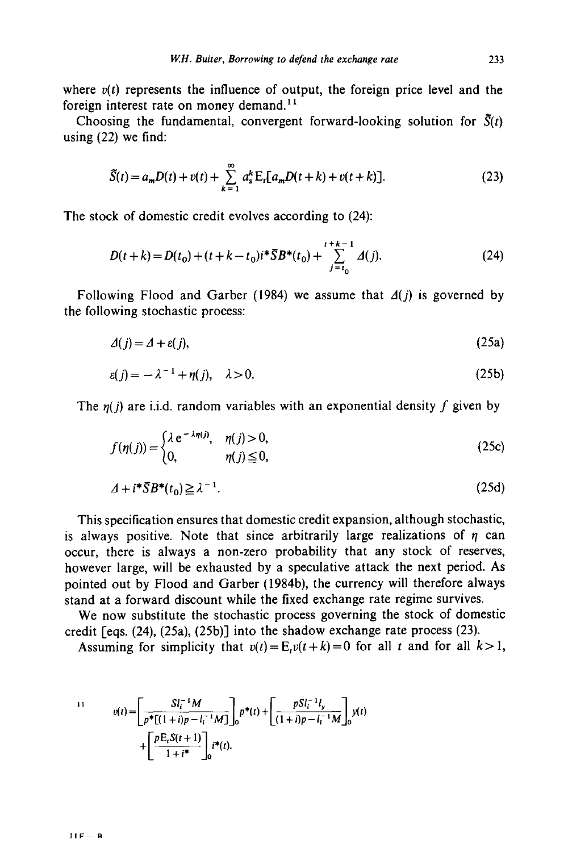where  $v(t)$  represents the influence of output, the foreign price level and the foreign interest rate on money demand.<sup>11</sup>

Choosing the fundamental, convergent forward-looking solution for  $\tilde{S}(t)$ using (22) we find:

$$
\tilde{S}(t) = a_m D(t) + v(t) + \sum_{k=1}^{\infty} a_s^k E_t [a_m D(t+k) + v(t+k)].
$$
\n(23)

The stock of domestic credit evolves according to (24):

$$
D(t+k) = D(t_0) + (t + k - t_0)i^* \overline{S} B^*(t_0) + \sum_{j=t_0}^{t+k-1} \Delta(j).
$$
 (24)

Following Flood and Garber (1984) we assume that  $A(j)$  is governed by the following stochastic process:

$$
\Delta(j) = \Delta + \varepsilon(j),\tag{25a}
$$

$$
\varepsilon(j) = -\lambda^{-1} + \eta(j), \quad \lambda > 0. \tag{25b}
$$

The  $n(i)$  are i.i.d. random variables with an exponential density f given by

$$
f(\eta(j)) = \begin{cases} \lambda e^{-\lambda \eta(j)}, & \eta(j) > 0, \\ 0, & \eta(j) \le 0, \end{cases}
$$
 (25c)

$$
\Delta + i^* \bar{S} B^*(t_0) \ge \lambda^{-1}.
$$
 (25d)

This specification ensures that domestic credit expansion, although stochastic, is always positive. Note that since arbitrarily large realizations of  $\eta$  can occur, there is always a non-zero probability that any stock of reserves, however large, will be exhausted by a speculative attack the next period. As pointed out by Flood and Garber (1984b), the currency will therefore always stand at a forward discount while the fixed exchange rate regime survives.

We now substitute the stochastic process governing the stock of domestic credit [eqs. (24), (25a), (25b)] into the shadow exchange rate process (23).

Assuming for simplicity that  $v(t) = E_t v(t+k) = 0$  for all t and for all  $k > 1$ ,

$$
v(t) = \left[\frac{SI_i^{-1}M}{p^*[1+i)p - l_i^{-1}M]}\right]_0 p^*(t) + \left[\frac{pSI_i^{-1}l_y}{(1+i)p - l_i^{-1}M}\right]_0 y(t) + \left[\frac{pE_t S(t+1)}{1+i^*}\right]_0 i^*(t).
$$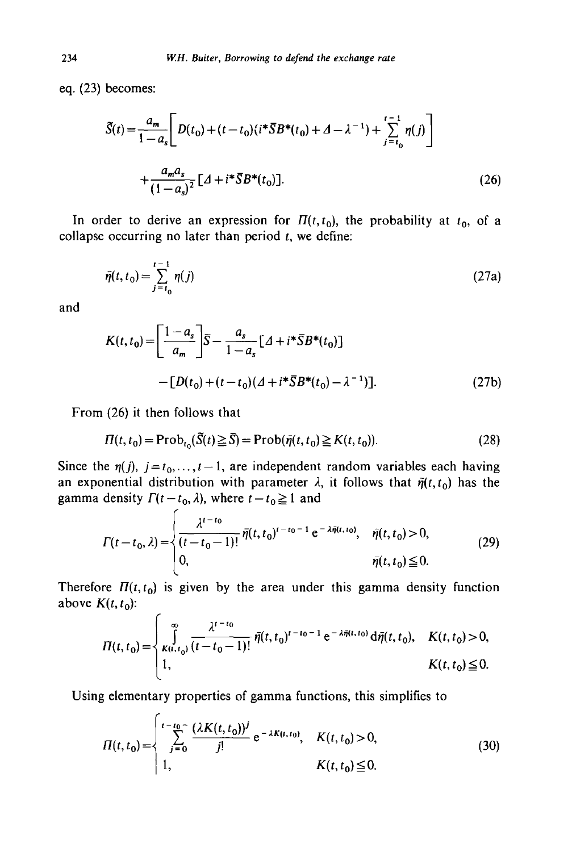eq. (23) becomes:

$$
\tilde{S}(t) = \frac{a_m}{1 - a_s} \left[ D(t_0) + (t - t_0)(i^* \overline{S} B^*(t_0) + \Delta - \lambda^{-1}) + \sum_{j=t_0}^{t-1} \eta(j) \right]
$$
  
+ 
$$
\frac{a_m a_s}{(1 - a_s)^2} \left[ \Delta + i^* \overline{S} B^*(t_0) \right].
$$
 (26)

In order to derive an expression for  $\Pi(t, t_0)$ , the probability at  $t_0$ , of a collapse occurring no later than period  $t$ , we define:

$$
\bar{\eta}(t, t_0) = \sum_{j=t_0}^{t-1} \eta(j) \tag{27a}
$$

and

$$
K(t, t_0) = \left[\frac{1 - a_s}{a_m}\right] \overline{S} - \frac{a_s}{1 - a_s} \left[A + i^* \overline{S} B^*(t_0)\right]
$$

$$
- \left[D(t_0) + (t - t_0)(A + i^* \overline{S} B^*(t_0) - \lambda^{-1})\right].
$$
(27b)

From (26) it then follows that

$$
\Pi(t, t_0) = \text{Prob}_{t_0}(\tilde{S}(t) \ge \bar{S}) = \text{Prob}(\bar{\eta}(t, t_0) \ge K(t, t_0)).
$$
\n(28)

Since the  $\eta(j)$ ,  $j = t_0, \ldots, t-1$ , are independent random variables each having an exponential distribution with parameter  $\lambda$ , it follows that  $\bar{\eta}(t, t_0)$  has the gamma density  $\Gamma(t-t_0,\lambda)$ , where  $t-t_0 \geq 1$  and

$$
\Gamma(t - t_0, \lambda) = \begin{cases}\n\frac{\lambda^{t - t_0}}{(t - t_0 - 1)!} \bar{\eta}(t, t_0)^{t - t_0 - 1} e^{-\lambda \bar{\eta}(t, t_0)}, & \bar{\eta}(t, t_0) > 0, \\
0, & \bar{\eta}(t, t_0) \le 0.\n\end{cases}
$$
\n(29)

Therefore  $\Pi(t, t_0)$  is given by the area under this gamma density function above  $K(t, t_0)$ :

$$
\Pi(t, t_0) = \begin{cases} \int_{K(t, t_0)}^{\infty} \frac{\lambda^{t - t_0}}{(t - t_0 - 1)!} \bar{\eta}(t, t_0)^{t - t_0 - 1} e^{-\lambda \bar{\eta}(t, t_0)} d\bar{\eta}(t, t_0), & K(t, t_0) > 0, \\ 1, & K(t, t_0) \leq 0. \end{cases}
$$

Using elementary properties of gamma functions, this simplifies to

$$
\Pi(t, t_0) = \begin{cases}\n t - \frac{t_0}{2} \left( \frac{\lambda K(t, t_0)}{j!} e^{-\lambda K(t, t_0)}, & K(t, t_0) > 0, \\
 1, & K(t, t_0) \le 0.\n\end{cases}
$$
\n(30)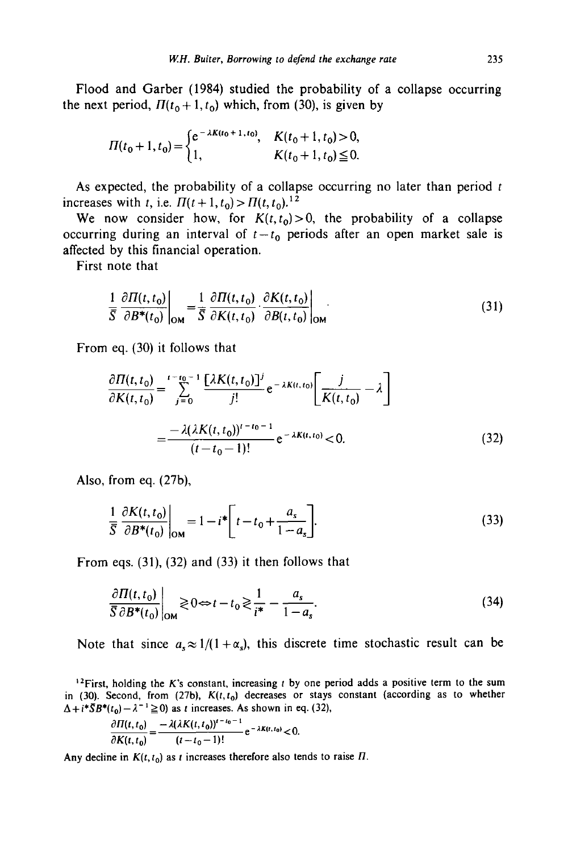Flood and Garber (1984) studied the probability of a collapse occurring the next period,  $\Pi(t_0 + 1, t_0)$  which, from (30), is given by

$$
\Pi(t_0+1, t_0) = \begin{cases} e^{-\lambda K(t_0+1, t_0)}, & K(t_0+1, t_0) > 0, \\ 1, & K(t_0+1, t_0) \le 0. \end{cases}
$$

As expected, the probability of a collapse occurring no later than period  $t$ increases with t, i.e.  $\Pi(t + 1, t_0) > \Pi(t, t_0).$ <sup>12</sup>

We now consider how, for  $K(t,t_0) > 0$ , the probability of a collapse occurring during an interval of  $t-t_0$  periods after an open market sale is affected by this financial operation.

First note that

$$
\frac{1}{\overline{S}} \frac{\partial \Pi(t, t_0)}{\partial B^*(t_0)} \bigg|_{\text{OM}} = \frac{1}{\overline{S}} \frac{\partial \Pi(t, t_0)}{\partial K(t, t_0)} \cdot \frac{\partial K(t, t_0)}{\partial B(t, t_0)} \bigg|_{\text{OM}} \tag{31}
$$

From eq. (30) it follows that

$$
\frac{\partial \Pi(t, t_0)}{\partial K(t, t_0)} = \sum_{j=0}^{t-t_0-1} \frac{[\lambda K(t, t_0)]^j}{j!} e^{-\lambda K(t, t_0)} \left[ \frac{j}{K(t, t_0)} - \lambda \right]
$$

$$
= \frac{-\lambda (\lambda K(t, t_0))^{t-t_0-1}}{(t-t_0-1)!} e^{-\lambda K(t, t_0)} < 0.
$$
 (32)

Also, from eq. (27b),

$$
\frac{1}{\overline{S}} \frac{\partial K(t, t_0)}{\partial B^*(t_0)} \bigg|_{\text{OM}} = 1 - i^* \bigg[ t - t_0 + \frac{a_s}{1 - a_s} \bigg]. \tag{33}
$$

From eqs. (31), (32) and (33) it then follows that

$$
\left. \frac{\partial \Pi(t, t_0)}{\overline{S} \partial B^*(t_0)} \right|_{OM} \ge 0 \Leftrightarrow t - t_0 \ge \frac{1}{i^*} - \frac{a_s}{1 - a_s}.
$$
\n(34)

Note that since  $a_s \approx 1/(1 + \alpha_s)$ , this discrete time stochastic result can be

<sup>12</sup>First, holding the K's constant, increasing t by one period adds a positive term to the sum in (30). Second, from (27b), *K(t, to)* decreases or stays constant (according as to whether  $\Delta + i^* \overline{S} B^*(t_0) - \lambda^{-1} \ge 0$  as t increases. As shown in eq. (32),

$$
\frac{\partial \Pi(t,t_0)}{\partial K(t,t_0)} = \frac{-\lambda(\lambda K(t,t_0))^{t-t_0-1}}{(t-t_0-1)!} e^{-\lambda K(t,t_0)} < 0.
$$

Any decline in  $K(t, t_0)$  as t increases therefore also tends to raise  $\Pi$ .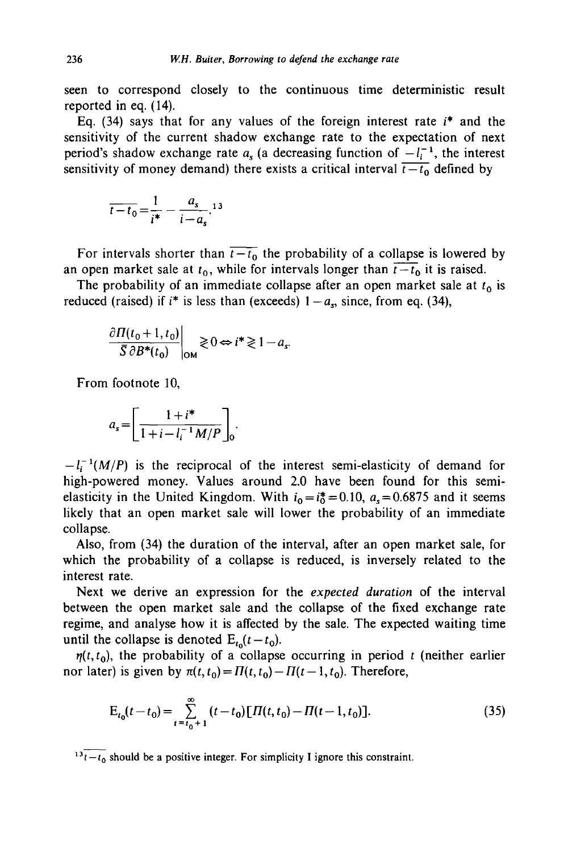seen to correspond closely to the continuous time deterministic result reported in eq. (14).

Eq. (34) says that for any values of the foreign interest rate  $i^*$  and the sensitivity of the current shadow exchange rate to the expectation of next period's shadow exchange rate  $a_s$  (a decreasing function of  $-l_i^{-1}$ , the interest sensitivity of money demand) there exists a critical interval  $\overline{t-t_0}$  defined by

$$
\overline{t-t_0} = \frac{1}{i^*} - \frac{a_s}{i-a_s}.
$$
<sup>13</sup>

For intervals shorter than  $\overline{t-t_0}$  the probability of a collapse is lowered by an open market sale at  $t_0$ , while for intervals longer than  $\overline{t-t_0}$  it is raised.

The probability of an immediate collapse after an open market sale at  $t_0$  is reduced (raised) if  $i^*$  is less than (exceeds)  $1 - a_s$ , since, from eq. (34),

$$
\left.\frac{\partial \Pi(t_0+1,t_0)}{\overline{S}\,\partial B^*(t_0)}\right|_{\text{OM}}\geq 0 \Leftrightarrow i^*\geq 1-a_s.
$$

From footnote 10,

$$
a_s = \left[ \frac{1 + i^*}{1 + i - l_i^{-1} M/P} \right]_0.
$$

 $-l_i^{-1}(M/P)$  is the reciprocal of the interest semi-elasticity of demand for high-powered money. Values around 2.0 have been found for this semielasticity in the United Kingdom. With  $i_0=i_0^*=0.10$ ,  $a_s=0.6875$  and it seems likely that an open market sale will lower the probability of an immediate collapse.

Also, from (34) the duration of the interval, after an open market sale, for which the probability of a collapse is reduced, is inversely related to the interest rate.

Next we derive an expression for the *expected duration* of the interval between the open market sale and the collapse of the fixed exchange rate regime, and analyse how it is affected by the sale. The expected waiting time until the collapse is denoted  $E_{t_0}(t-t_0)$ .

 $\eta(t, t_0)$ , the probability of a collapse occurring in period t (neither earlier nor later) is given by  $\pi(t, t_0) = \Pi(t, t_0) - \Pi(t-1, t_0)$ . Therefore,

$$
E_{t_0}(t - t_0) = \sum_{t = t_0 + 1}^{\infty} (t - t_0) [ \Pi(t, t_0) - \Pi(t - 1, t_0) ].
$$
 (35)

 $\sqrt[13]{t-t_0}$  should be a positive integer. For simplicity I ignore this constraint.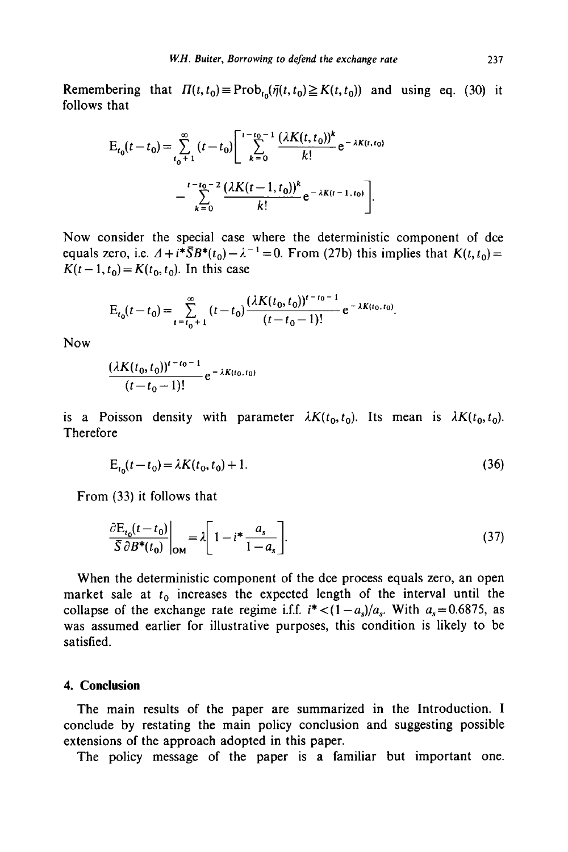Remembering that  $\Pi(t, t_0) = \text{Prob}_{t_0}(\bar{\eta}(t, t_0) \geq K(t, t_0))$  and using eq. (30) it follows that

$$
E_{t_0}(t-t_0) = \sum_{t_0+1}^{\infty} (t-t_0) \left[ \sum_{k=0}^{t-t_0-1} \frac{(\lambda K(t,t_0))^k}{k!} e^{-\lambda K(t,t_0)} - \sum_{k=0}^{t-t_0-2} \frac{(\lambda K(t-1,t_0))^k}{k!} e^{-\lambda K(t-1,t_0)} \right].
$$

Now consider the special case where the deterministic component of dce equals zero, i.e.  $A + i^* \overline{S} B^*(t_0) - \lambda^{-1} = 0$ . From (27b) this implies that  $K(t, t_0) =$  $K(t-1, t_0) = K(t_0, t_0)$ . In this case

$$
E_{t_0}(t-t_0) = \sum_{t=t_0+1}^{\infty} (t-t_0) \frac{(\lambda K(t_0, t_0))^{t-t_0-1}}{(t-t_0-1)!} e^{-\lambda K(t_0, t_0)}.
$$

Now

$$
\frac{(\lambda K(t_0,t_0))^{t-t_0-1}}{(t-t_0-1)!}e^{-\lambda K(t_0,t_0)}
$$

is a Poisson density with parameter  $\lambda K(t_0, t_0)$ . Its mean is  $\lambda K(t_0, t_0)$ . Therefore

$$
E_{t_0}(t - t_0) = \lambda K(t_0, t_0) + 1. \tag{36}
$$

From (33) it follows that

$$
\left. \frac{\partial E_{t_0}(t - t_0)}{\overline{S} \partial B^*(t_0)} \right|_{OM} = \lambda \left[ 1 - i^* \frac{a_s}{1 - a_s} \right].
$$
\n(37)

When the deterministic component of the dce process equals zero, an open market sale at  $t_0$  increases the expected length of the interval until the collapse of the exchange rate regime i.f.f.  $i^* < (1-a_s)/a_s$ . With  $a_s = 0.6875$ , as was assumed earlier for illustrative purposes, this condition is likely to be satisfied.

### **4. Conclusion**

The main results of the paper are summarized in the Introduction. I conclude by restating the main policy conclusion and suggesting possible extensions of the approach adopted in this paper.

The policy message of the paper is a familiar but important one.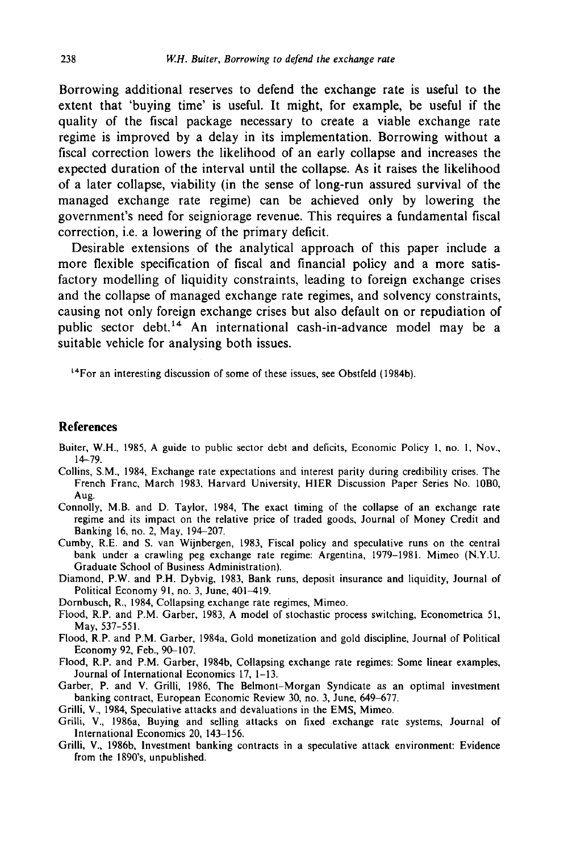Borrowing additional reserves to defend the exchange rate is useful to the extent that 'buying time' is useful. It might, for example, be useful if the quality of the fiscal package necessary to create a viable exchange rate regime is improved by a delay in its implementation. Borrowing without a fiscal correction lowers the likelihood of an early collapse and increases the expected duration of the interval until the collapse. As it raises the likelihood of a later collapse, viability (in the sense of long-run assured survival of the managed exchange rate regime) can be achieved only by lowering the government's need for seigniorage revenue. This requires a fundamental fiscal correction, i.e. a lowering of the primary deficit.

Desirable extensions of the analytical approach of this paper include a more flexible specification of fiscal and financial policy and a more satisfactory modelling of liquidity constraints, leading to foreign exchange crises and the collapse of managed exchange rate regimes, and solvency constraints, causing not only foreign exchange crises but also default on or repudiation of public sector debt.<sup>14</sup> An international cash-in-advance model may be a suitable vehicle for analysing both issues.

<sup>14</sup>For an interesting discussion of some of these issues, see Obstfeld (1984b).

#### **References**

- Buiter, W.H., 1985, A guide to public sector debt and deficits, Economic Policy 1, no. I, Nov., 14-79.
- Collins, S.M., 1984, Exchange rate expectations and interest parity during credibility crises. The French Franc, March 1983, Harvard University, H1ER Discussion Paper Series No. 10B0, Aug.
- Connolly, M.B. and D. Taylor, 1984, The exact timing of the collapse of an exchange rate regime and its impact on the relative price of traded goods, Journal of Money Credit and Banking 16, no. 2, May, 194-207.
- Cumby, R.E. and S. van Wijnbergen, 1983, Fiscal policy and speculative runs on the central bank under a crawling peg exchange rate regime: Argentina, 1979-1981. Mimeo (N.Y.U. Graduate School of Business Administration).
- Diamond, P.W. and P.H. Dybvig, 1983, Bank runs, deposit insurance and liquidity, Journal of Political Economy 91, no. 3, June, 401-419.
- Dornbusch, R., 1984, Collapsing exchange rate regimes, Mimeo.
- Flood, R.P. and P.M. Garber, 1983, A model of stochastic process switching, Econometrica 51, May, 537-551.
- Flood, R.P. and P.M. Garber, 1984a, Gold monetization and gold discipline, Journal of Political Economy 92, Feb., 90-107.
- Flood, R.P. and P.M. Garber, 1984b, Collapsing exchange rate regimes: Some linear examples, Journal of International Economics 17, 1-13.
- Garber, P. and V. Grilli, 1986, The Belmont-Morgan Syndicate as an optimal investment banking contract, European Economic Review 30, no. 3, June, 649-677.
- Grilli, V., 1984, Speculative attacks and devaluations in the EMS, Mimeo.
- Grilli, V., 1986a, Buying and selling attacks on fixed exchange rate systems, Journal of International Economics 20, 143-156.
- Grilli, V., 1986b, Investment banking contracts in a speculative attack environment: Evidence from the 1890's, unpublished.